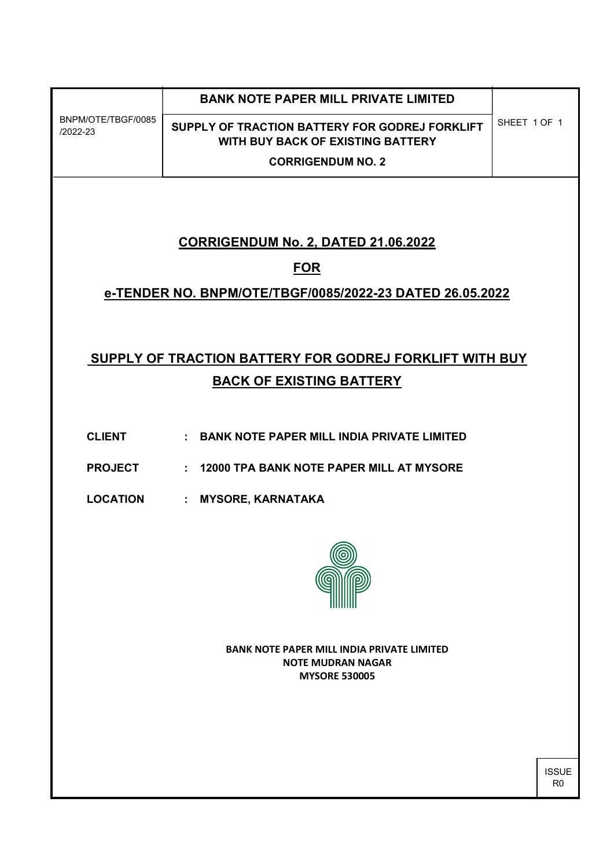| BNPM/OTE/TBGF/0085<br>$/2022 - 23$                       | <b>BANK NOTE PAPER MILL PRIVATE LIMITED</b>                                         | SHEET 1 OF 1 |  |  |  |
|----------------------------------------------------------|-------------------------------------------------------------------------------------|--------------|--|--|--|
|                                                          | SUPPLY OF TRACTION BATTERY FOR GODREJ FORKLIFT<br>WITH BUY BACK OF EXISTING BATTERY |              |  |  |  |
|                                                          | <b>CORRIGENDUM NO. 2</b>                                                            |              |  |  |  |
|                                                          |                                                                                     |              |  |  |  |
|                                                          |                                                                                     |              |  |  |  |
| <b>CORRIGENDUM No. 2, DATED 21.06.2022</b>               |                                                                                     |              |  |  |  |
| <b>FOR</b>                                               |                                                                                     |              |  |  |  |
| e-TENDER NO. BNPM/OTE/TBGF/0085/2022-23 DATED 26.05.2022 |                                                                                     |              |  |  |  |
|                                                          |                                                                                     |              |  |  |  |
|                                                          |                                                                                     |              |  |  |  |
| SUPPLY OF TRACTION BATTERY FOR GODREJ FORKLIFT WITH BUY  |                                                                                     |              |  |  |  |
| <b>BACK OF EXISTING BATTERY</b>                          |                                                                                     |              |  |  |  |
|                                                          |                                                                                     |              |  |  |  |
| <b>CLIENT</b>                                            | : BANK NOTE PAPER MILL INDIA PRIVATE LIMITED                                        |              |  |  |  |
| <b>PROJECT</b>                                           | 12000 TPA BANK NOTE PAPER MILL AT MYSORE<br>÷                                       |              |  |  |  |
| <b>LOCATION</b>                                          | <b>MYSORE, KARNATAKA</b><br>$\mathbb{Z}^{\times}$                                   |              |  |  |  |
|                                                          |                                                                                     |              |  |  |  |
|                                                          |                                                                                     |              |  |  |  |
|                                                          |                                                                                     |              |  |  |  |
|                                                          |                                                                                     |              |  |  |  |
|                                                          |                                                                                     |              |  |  |  |
| <b>BANK NOTE PAPER MILL INDIA PRIVATE LIMITED</b>        |                                                                                     |              |  |  |  |
| <b>NOTE MUDRAN NAGAR</b><br><b>MYSORE 530005</b>         |                                                                                     |              |  |  |  |
|                                                          |                                                                                     |              |  |  |  |

ISSUE R0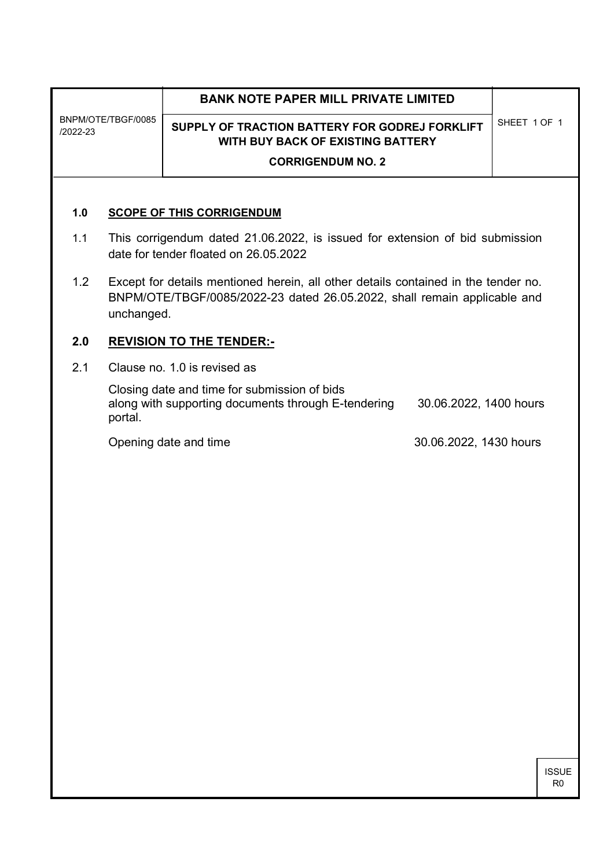| BNPM/OTE/TBGF/0085<br>/2022-23          |                                                                                                                                                                              | <b>BANK NOTE PAPER MILL PRIVATE LIMITED</b>                                                |                        |              |  |  |
|-----------------------------------------|------------------------------------------------------------------------------------------------------------------------------------------------------------------------------|--------------------------------------------------------------------------------------------|------------------------|--------------|--|--|
|                                         |                                                                                                                                                                              | SUPPLY OF TRACTION BATTERY FOR GODREJ FORKLIFT<br><b>WITH BUY BACK OF EXISTING BATTERY</b> |                        | SHEET 1 OF 1 |  |  |
|                                         |                                                                                                                                                                              | <b>CORRIGENDUM NO. 2</b>                                                                   |                        |              |  |  |
|                                         |                                                                                                                                                                              |                                                                                            |                        |              |  |  |
| 1.0<br><b>SCOPE OF THIS CORRIGENDUM</b> |                                                                                                                                                                              |                                                                                            |                        |              |  |  |
| 1.1                                     | This corrigendum dated 21.06.2022, is issued for extension of bid submission<br>date for tender floated on 26.05.2022                                                        |                                                                                            |                        |              |  |  |
| 1.2                                     | Except for details mentioned herein, all other details contained in the tender no.<br>BNPM/OTE/TBGF/0085/2022-23 dated 26.05.2022, shall remain applicable and<br>unchanged. |                                                                                            |                        |              |  |  |
| 2.0                                     | <b>REVISION TO THE TENDER:-</b>                                                                                                                                              |                                                                                            |                        |              |  |  |
| 2.1                                     | Clause no. 1.0 is revised as                                                                                                                                                 |                                                                                            |                        |              |  |  |
|                                         | Closing date and time for submission of bids<br>along with supporting documents through E-tendering<br>30.06.2022, 1400 hours<br>portal.                                     |                                                                                            |                        |              |  |  |
|                                         |                                                                                                                                                                              | Opening date and time                                                                      | 30.06.2022, 1430 hours |              |  |  |
|                                         |                                                                                                                                                                              |                                                                                            |                        |              |  |  |
|                                         |                                                                                                                                                                              |                                                                                            |                        |              |  |  |
|                                         |                                                                                                                                                                              |                                                                                            |                        |              |  |  |
|                                         |                                                                                                                                                                              |                                                                                            |                        |              |  |  |